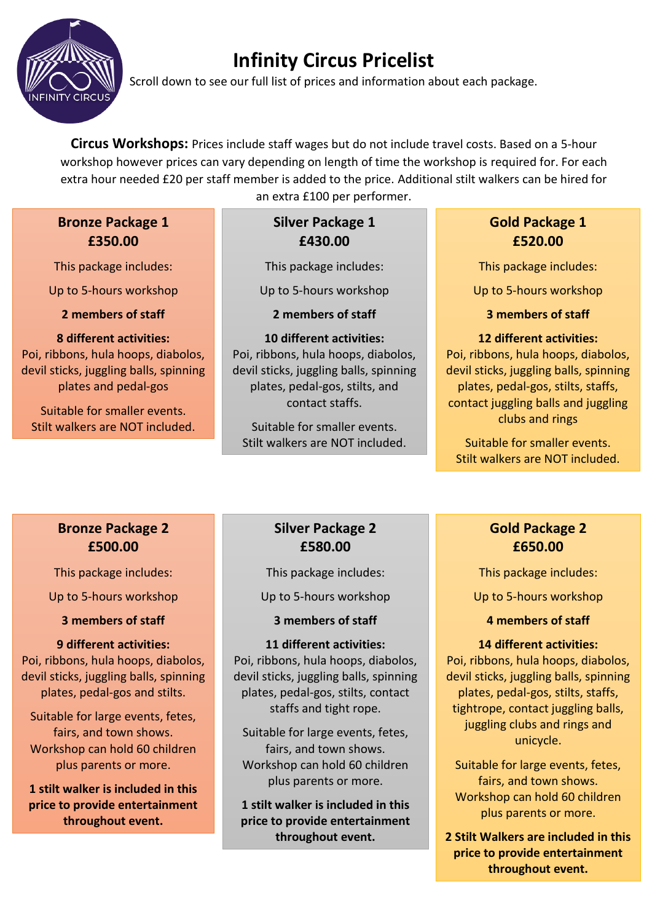

# **Infinity Circus Pricelist**

Scroll down to see our full list of prices and information about each package.

**Circus Workshops:** Prices include staff wages but do not include travel costs. Based on a 5-hour workshop however prices can vary depending on length of time the workshop is required for. For each extra hour needed £20 per staff member is added to the price. Additional stilt walkers can be hired for

## **Bronze Package 1 £350.00**

This package includes:

Up to 5-hours workshop

**2 members of staff** 

### **8 different activities:**

Poi, ribbons, hula hoops, diabolos, devil sticks, juggling balls, spinning plates and pedal-gos

Suitable for smaller events. Stilt walkers are NOT included. an extra £100 per performer.

#### **Silver Package 1 £430.00**

This package includes:

Up to 5-hours workshop

**2 members of staff**

## **10 different activities:**

Poi, ribbons, hula hoops, diabolos, devil sticks, juggling balls, spinning plates, pedal-gos, stilts, and contact staffs.

Suitable for smaller events. Stilt walkers are NOT included.

## **Gold Package 1 £520.00**

This package includes:

Up to 5-hours workshop

**3 members of staff**

### **12 different activities:**

Poi, ribbons, hula hoops, diabolos, devil sticks, juggling balls, spinning plates, pedal-gos, stilts, staffs, contact juggling balls and juggling clubs and rings

Suitable for smaller events. Stilt walkers are NOT included.

## **Bronze Package 2 £500.00**

This package includes:

Up to 5-hours workshop

**3 members of staff**

## **9 different activities:**

Poi, ribbons, hula hoops, diabolos, devil sticks, juggling balls, spinning plates, pedal-gos and stilts.

Suitable for large events, fetes, fairs, and town shows. Workshop can hold 60 children plus parents or more.

**1 stilt walker is included in this price to provide entertainment throughout event.**

## **Silver Package 2 £580.00**

This package includes:

Up to 5-hours workshop

**3 members of staff**

### **11 different activities:**

Poi, ribbons, hula hoops, diabolos, devil sticks, juggling balls, spinning plates, pedal-gos, stilts, contact staffs and tight rope.

Suitable for large events, fetes, fairs, and town shows. Workshop can hold 60 children plus parents or more.

**1 stilt walker is included in this price to provide entertainment throughout event.**

## **Gold Package 2 £650.00**

This package includes:

Up to 5-hours workshop

## **4 members of staff**

### **14 different activities:**

Poi, ribbons, hula hoops, diabolos, devil sticks, juggling balls, spinning plates, pedal-gos, stilts, staffs, tightrope, contact juggling balls, juggling clubs and rings and unicycle.

Suitable for large events, fetes, fairs, and town shows. Workshop can hold 60 children plus parents or more.

**2 Stilt Walkers are included in this price to provide entertainment throughout event.**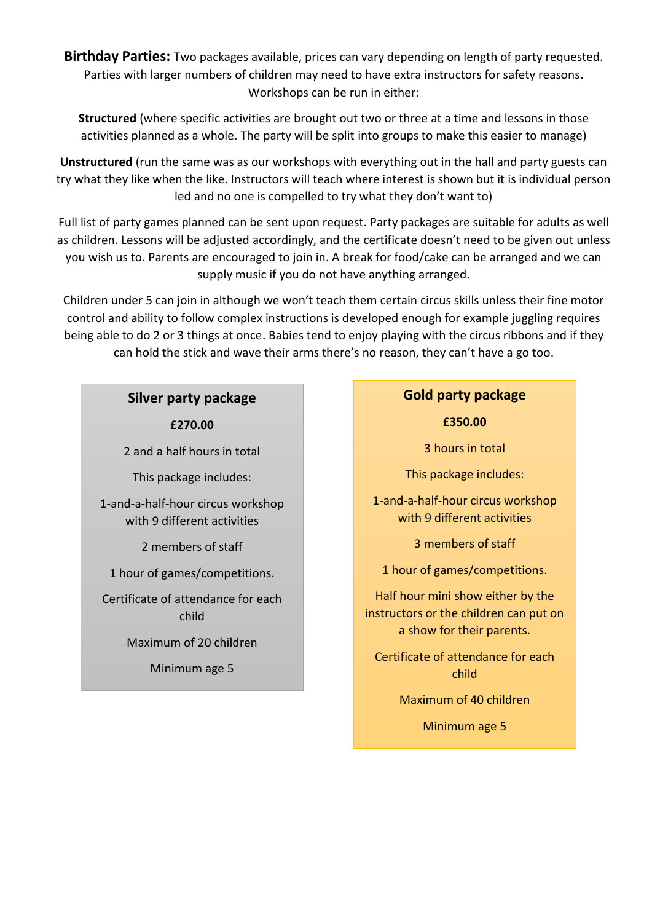**Birthday Parties:** Two packages available, prices can vary depending on length of party requested. Parties with larger numbers of children may need to have extra instructors for safety reasons. Workshops can be run in either:

**Structured** (where specific activities are brought out two or three at a time and lessons in those activities planned as a whole. The party will be split into groups to make this easier to manage)

**Unstructured** (run the same was as our workshops with everything out in the hall and party guests can try what they like when the like. Instructors will teach where interest is shown but it is individual person led and no one is compelled to try what they don't want to)

Full list of party games planned can be sent upon request. Party packages are suitable for adults as well as children. Lessons will be adjusted accordingly, and the certificate doesn't need to be given out unless you wish us to. Parents are encouraged to join in. A break for food/cake can be arranged and we can supply music if you do not have anything arranged.

Children under 5 can join in although we won't teach them certain circus skills unless their fine motor control and ability to follow complex instructions is developed enough for example juggling requires being able to do 2 or 3 things at once. Babies tend to enjoy playing with the circus ribbons and if they can hold the stick and wave their arms there's no reason, they can't have a go too.

## **Silver party package**

**£270.00**

2 and a half hours in total

This package includes:

1-and-a-half-hour circus workshop with 9 different activities

2 members of staff

1 hour of games/competitions.

Certificate of attendance for each child

Maximum of 20 children

Minimum age 5

#### **Gold party package**

**£350.00**

3 hours in total

This package includes:

1-and-a-half-hour circus workshop with 9 different activities

3 members of staff

1 hour of games/competitions.

Half hour mini show either by the instructors or the children can put on a show for their parents.

Certificate of attendance for each child

Maximum of 40 children

Minimum age 5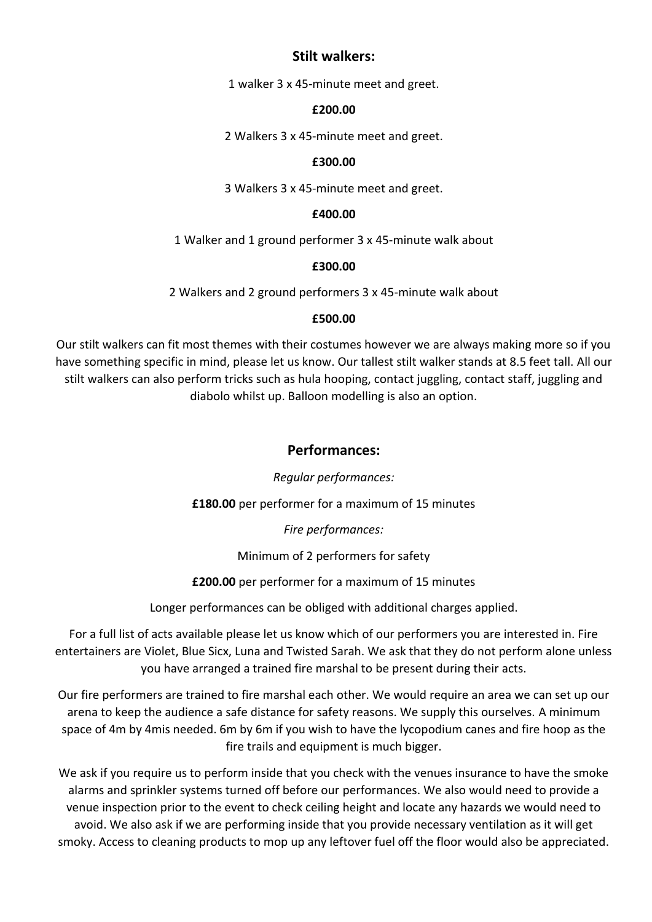#### **Stilt walkers:**

1 walker 3 x 45-minute meet and greet.

#### **£200.00**

2 Walkers 3 x 45-minute meet and greet.

#### **£300.00**

3 Walkers 3 x 45-minute meet and greet.

#### **£400.00**

1 Walker and 1 ground performer 3 x 45-minute walk about

#### **£300.00**

2 Walkers and 2 ground performers 3 x 45-minute walk about

#### **£500.00**

Our stilt walkers can fit most themes with their costumes however we are always making more so if you have something specific in mind, please let us know. Our tallest stilt walker stands at 8.5 feet tall. All our stilt walkers can also perform tricks such as hula hooping, contact juggling, contact staff, juggling and diabolo whilst up. Balloon modelling is also an option.

### **Performances:**

#### *Regular performances:*

**£180.00** per performer for a maximum of 15 minutes

*Fire performances:*

Minimum of 2 performers for safety

**£200.00** per performer for a maximum of 15 minutes

Longer performances can be obliged with additional charges applied.

For a full list of acts available please let us know which of our performers you are interested in. Fire entertainers are Violet, Blue Sicx, Luna and Twisted Sarah. We ask that they do not perform alone unless you have arranged a trained fire marshal to be present during their acts.

Our fire performers are trained to fire marshal each other. We would require an area we can set up our arena to keep the audience a safe distance for safety reasons. We supply this ourselves. A minimum space of 4m by 4mis needed. 6m by 6m if you wish to have the lycopodium canes and fire hoop as the fire trails and equipment is much bigger.

We ask if you require us to perform inside that you check with the venues insurance to have the smoke alarms and sprinkler systems turned off before our performances. We also would need to provide a venue inspection prior to the event to check ceiling height and locate any hazards we would need to avoid. We also ask if we are performing inside that you provide necessary ventilation as it will get smoky. Access to cleaning products to mop up any leftover fuel off the floor would also be appreciated.